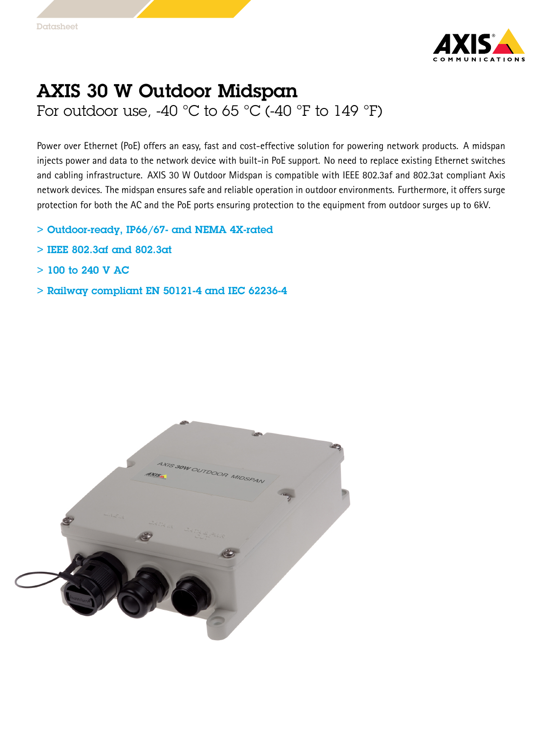

## AXIS 30 W Outdoor Midspan For outdoor use, -40  $\degree$ C to 65  $\degree$ C (-40  $\degree$ F to 149  $\degree$ F)

Power over Ethernet (PoE) offers an easy, fast and cost-effective solution for powering network products. A midspan injects power and data to the network device with built-in PoE support. No need to replace existing Ethernet switches and cabling infrastructure. AXIS 30 W Outdoor Midspan is compatible with IEEE 802.3af and 802.3at compliant Axis network devices. The midspan ensures safe and reliable operation in outdoor environments. Furthermore, it offers surge protection for both the AC and the PoE ports ensuring protection to the equipment from outdoor surges up to 6kV.

- > Outdoor-ready, IP66/67- and NEMA 4X-rated
- > IEEE 802.3af and 802.3at
- $>$  100 to 240 V AC
- > Railway compliant EN 50121-4 and IEC 62236-4